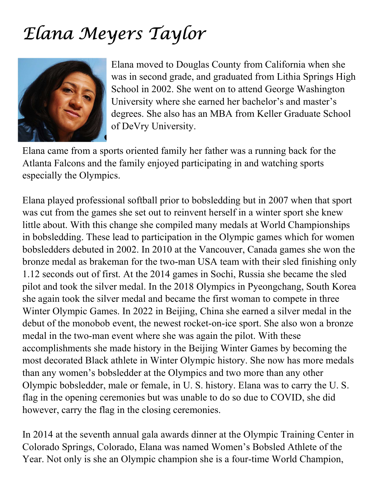## Elana Meyers Taylor



Elana moved to Douglas County from California when she was in second grade, and graduated from Lithia Springs High School in 2002. She went on to attend George Washington University where she earned her bachelor's and master's degrees. She also has an MBA from Keller Graduate School of DeVry University.

Elana came from a sports oriented family her father was a running back for the Atlanta Falcons and the family enjoyed participating in and watching sports especially the Olympics.

Elana played professional softball prior to bobsledding but in 2007 when that sport was cut from the games she set out to reinvent herself in a winter sport she knew little about. With this change she compiled many medals at World Championships in bobsledding. These lead to participation in the Olympic games which for women bobsledders debuted in 2002. In 2010 at the Vancouver, Canada games she won the bronze medal as brakeman for the two-man USA team with their sled finishing only 1.12 seconds out of first. At the 2014 games in Sochi, Russia she became the sled pilot and took the silver medal. In the 2018 Olympics in Pyeongchang, South Korea she again took the silver medal and became the first woman to compete in three Winter Olympic Games. In 2022 in Beijing, China she earned a silver medal in the debut of the monobob event, the newest rocket-on-ice sport. She also won a bronze medal in the two-man event where she was again the pilot. With these accomplishments she made history in the Beijing Winter Games by becoming the most decorated Black athlete in Winter Olympic history. She now has more medals than any women's bobsledder at the Olympics and two more than any other Olympic bobsledder, male or female, in U. S. history. Elana was to carry the U. S. flag in the opening ceremonies but was unable to do so due to COVID, she did however, carry the flag in the closing ceremonies.

In 2014 at the seventh annual gala awards dinner at the Olympic Training Center in Colorado Springs, Colorado, Elana was named Women's Bobsled Athlete of the Year. Not only is she an Olympic champion she is a four-time World Champion,